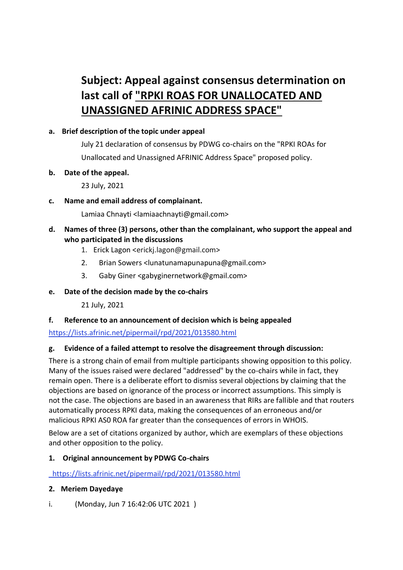# **Subject: Appeal against consensus determination on last call of "RPKI ROAS FOR UNALLOCATED AND UNASSIGNED AFRINIC ADDRESS SPACE"**

## **a. Brief description of the topic under appeal**

July 21 declaration of consensus by PDWG co-chairs on the "RPKI ROAs for Unallocated and Unassigned AFRINIC Address Space" proposed policy.

## **b. Date of the appeal.**

23 July, 2021

**c. Name and email address of complainant.**

Lamiaa Chnayti <lamiaachnayti@gmail.com>

# **d. Names of three (3) persons, other than the complainant, who support the appeal and who participated in the discussions**

- 1. Erick Lagon <erickj.lagon@gmail.com>
- 2. Brian Sowers <lunatunamapunapuna@gmail.com>
- 3. Gaby Giner <gabyginernetwork@gmail.com>

# **e. Date of the decision made by the co-chairs**

21 July, 2021

# **f. Reference to an announcement of decision which is being appealed**

<https://lists.afrinic.net/pipermail/rpd/2021/013580.html>

# **g. Evidence of a failed attempt to resolve the disagreement through discussion:**

There is a strong chain of email from multiple participants showing opposition to this policy. Many of the issues raised were declared "addressed" by the co-chairs while in fact, they remain open. There is a deliberate effort to dismiss several objections by claiming that the objections are based on ignorance of the process or incorrect assumptions. This simply is not the case. The objections are based in an awareness that RIRs are fallible and that routers automatically process RPKI data, making the consequences of an erroneous and/or malicious RPKI AS0 ROA far greater than the consequences of errors in WHOIS.

Below are a set of citations organized by author, which are exemplars of these objections and other opposition to the policy.

# **1. Original announcement by PDWG Co-chairs**

<https://lists.afrinic.net/pipermail/rpd/2021/013580.html>

### **2. Meriem Dayedaye**

i. (Monday, Jun 7 16:42:06 UTC 2021 )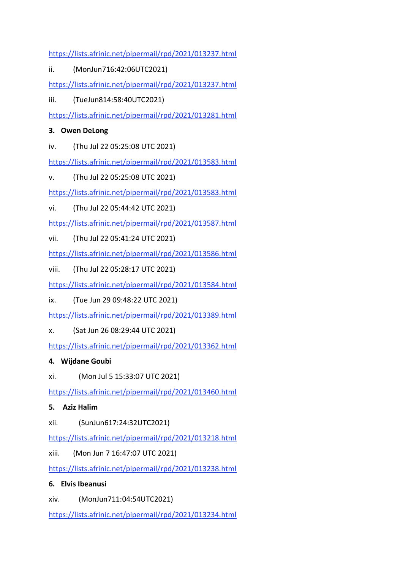<https://lists.afrinic.net/pipermail/rpd/2021/013237.html>

ii. (MonJun716:42:06UTC2021)

<https://lists.afrinic.net/pipermail/rpd/2021/013237.html>

iii. (TueJun814:58:40UTC2021)

<https://lists.afrinic.net/pipermail/rpd/2021/013281.html>

# **3. Owen DeLong**

iv. (Thu Jul 22 05:25:08 UTC 2021)

<https://lists.afrinic.net/pipermail/rpd/2021/013583.html>

v. (Thu Jul 22 05:25:08 UTC 2021)

<https://lists.afrinic.net/pipermail/rpd/2021/013583.html>

vi. (Thu Jul 22 05:44:42 UTC 2021)

<https://lists.afrinic.net/pipermail/rpd/2021/013587.html>

vii. (Thu Jul 22 05:41:24 UTC 2021)

<https://lists.afrinic.net/pipermail/rpd/2021/013586.html>

viii. (Thu Jul 22 05:28:17 UTC 2021)

<https://lists.afrinic.net/pipermail/rpd/2021/013584.html>

ix. (Tue Jun 29 09:48:22 UTC 2021)

<https://lists.afrinic.net/pipermail/rpd/2021/013389.html>

x. (Sat Jun 26 08:29:44 UTC 2021)

<https://lists.afrinic.net/pipermail/rpd/2021/013362.html>

# **4. Wijdane Goubi**

xi. (Mon Jul 5 15:33:07 UTC 2021)

<https://lists.afrinic.net/pipermail/rpd/2021/013460.html>

# **5. Aziz Halim**

xii. (SunJun617:24:32UTC2021)

<https://lists.afrinic.net/pipermail/rpd/2021/013218.html>

xiii. (Mon Jun 7 16:47:07 UTC 2021)

<https://lists.afrinic.net/pipermail/rpd/2021/013238.html>

# **6. Elvis Ibeanusi**

xiv. (MonJun711:04:54UTC2021)

<https://lists.afrinic.net/pipermail/rpd/2021/013234.html>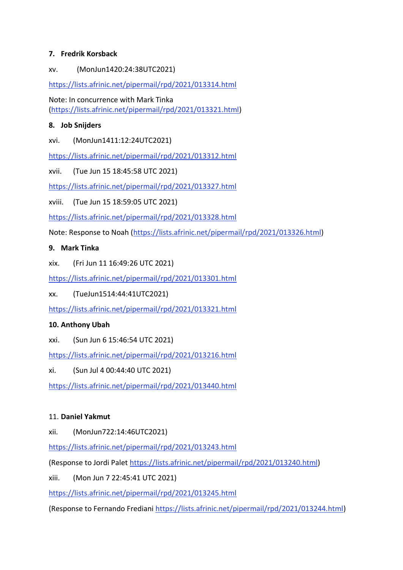## **7. Fredrik Korsback**

xv. (MonJun1420:24:38UTC2021)

<https://lists.afrinic.net/pipermail/rpd/2021/013314.html>

Note: In concurrence with Mark Tinka [\(https://lists.afrinic.net/pipermail/rpd/2021/013321.html\)](https://lists.afrinic.net/pipermail/rpd/2021/013321.html)

## **8. Job Snijders**

xvi. (MonJun1411:12:24UTC2021)

<https://lists.afrinic.net/pipermail/rpd/2021/013312.html>

xvii. (Tue Jun 15 18:45:58 UTC 2021)

<https://lists.afrinic.net/pipermail/rpd/2021/013327.html>

xviii. (Tue Jun 15 18:59:05 UTC 2021)

<https://lists.afrinic.net/pipermail/rpd/2021/013328.html>

Note: Response to Noah [\(https://lists.afrinic.net/pipermail/rpd/2021/013326.html\)](https://lists.afrinic.net/pipermail/rpd/2021/013326.html)

## **9. Mark Tinka**

xix. (Fri Jun 11 16:49:26 UTC 2021)

<https://lists.afrinic.net/pipermail/rpd/2021/013301.html>

xx. (TueJun1514:44:41UTC2021)

<https://lists.afrinic.net/pipermail/rpd/2021/013321.html>

# **10. Anthony Ubah**

xxi. (Sun Jun 6 15:46:54 UTC 2021)

<https://lists.afrinic.net/pipermail/rpd/2021/013216.html>

xi. (Sun Jul 4 00:44:40 UTC 2021)

<https://lists.afrinic.net/pipermail/rpd/2021/013440.html>

### 11. **Daniel Yakmut**

xii. (MonJun722:14:46UTC2021)

<https://lists.afrinic.net/pipermail/rpd/2021/013243.html>

(Response to Jordi Palet [https://lists.afrinic.net/pipermail/rpd/2021/013240.html\)](https://lists.afrinic.net/pipermail/rpd/2021/013240.html)

xiii. (Mon Jun 7 22:45:41 UTC 2021)

<https://lists.afrinic.net/pipermail/rpd/2021/013245.html>

(Response to Fernando Frediani [https://lists.afrinic.net/pipermail/rpd/2021/013244.html\)](https://lists.afrinic.net/pipermail/rpd/2021/013244.html)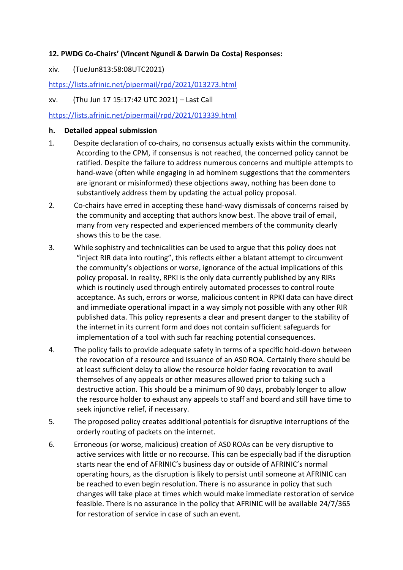### **12. PWDG Co-Chairs' (Vincent Ngundi & Darwin Da Costa) Responses:**

#### xiv. (TueJun813:58:08UTC2021)

<https://lists.afrinic.net/pipermail/rpd/2021/013273.html>

#### xv. (Thu Jun 17 15:17:42 UTC 2021) – Last Call

#### <https://lists.afrinic.net/pipermail/rpd/2021/013339.html>

#### **h. Detailed appeal submission**

- 1. Despite declaration of co-chairs, no consensus actually exists within the community. According to the CPM, if consensus is not reached, the concerned policy cannot be ratified. Despite the failure to address numerous concerns and multiple attempts to hand-wave (often while engaging in ad hominem suggestions that the commenters are ignorant or misinformed) these objections away, nothing has been done to substantively address them by updating the actual policy proposal.
- 2. Co-chairs have erred in accepting these hand-wavy dismissals of concerns raised by the community and accepting that authors know best. The above trail of email, many from very respected and experienced members of the community clearly shows this to be the case.
- 3. While sophistry and technicalities can be used to argue that this policy does not "inject RIR data into routing", this reflects either a blatant attempt to circumvent the community's objections or worse, ignorance of the actual implications of this policy proposal. In reality, RPKI is the only data currently published by any RIRs which is routinely used through entirely automated processes to control route acceptance. As such, errors or worse, malicious content in RPKI data can have direct and immediate operational impact in a way simply not possible with any other RIR published data. This policy represents a clear and present danger to the stability of the internet in its current form and does not contain sufficient safeguards for implementation of a tool with such far reaching potential consequences.
- 4. The policy fails to provide adequate safety in terms of a specific hold-down between the revocation of a resource and issuance of an AS0 ROA. Certainly there should be at least sufficient delay to allow the resource holder facing revocation to avail themselves of any appeals or other measures allowed prior to taking such a destructive action. This should be a minimum of 90 days, probably longer to allow the resource holder to exhaust any appeals to staff and board and still have time to seek injunctive relief, if necessary.
- 5. The proposed policy creates additional potentials for disruptive interruptions of the orderly routing of packets on the internet.
- 6. Erroneous (or worse, malicious) creation of AS0 ROAs can be very disruptive to active services with little or no recourse. This can be especially bad if the disruption starts near the end of AFRINIC's business day or outside of AFRINIC's normal operating hours, as the disruption is likely to persist until someone at AFRINIC can be reached to even begin resolution. There is no assurance in policy that such changes will take place at times which would make immediate restoration of service feasible. There is no assurance in the policy that AFRINIC will be available 24/7/365 for restoration of service in case of such an event.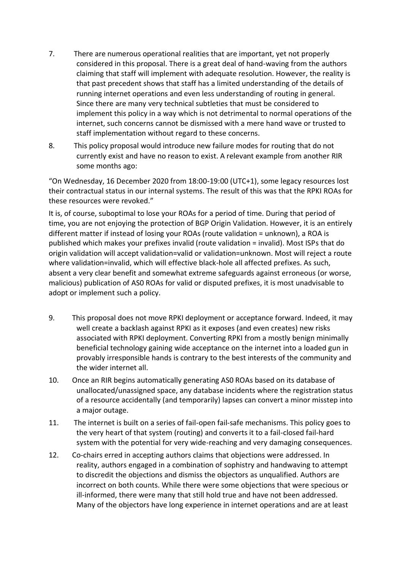- 7. There are numerous operational realities that are important, yet not properly considered in this proposal. There is a great deal of hand-waving from the authors claiming that staff will implement with adequate resolution. However, the reality is that past precedent shows that staff has a limited understanding of the details of running internet operations and even less understanding of routing in general. Since there are many very technical subtleties that must be considered to implement this policy in a way which is not detrimental to normal operations of the internet, such concerns cannot be dismissed with a mere hand wave or trusted to staff implementation without regard to these concerns.
- 8. This policy proposal would introduce new failure modes for routing that do not currently exist and have no reason to exist. A relevant example from another RIR some months ago:

"On Wednesday, 16 December 2020 from 18:00-19:00 (UTC+1), some legacy resources lost their contractual status in our internal systems. The result of this was that the RPKI ROAs for these resources were revoked."

It is, of course, suboptimal to lose your ROAs for a period of time. During that period of time, you are not enjoying the protection of BGP Origin Validation. However, it is an entirely different matter if instead of losing your ROAs (route validation = unknown), a ROA is published which makes your prefixes invalid (route validation = invalid). Most ISPs that do origin validation will accept validation=valid or validation=unknown. Most will reject a route where validation=invalid, which will effective black-hole all affected prefixes. As such, absent a very clear benefit and somewhat extreme safeguards against erroneous (or worse, malicious) publication of AS0 ROAs for valid or disputed prefixes, it is most unadvisable to adopt or implement such a policy.

- 9. This proposal does not move RPKI deployment or acceptance forward. Indeed, it may well create a backlash against RPKI as it exposes (and even creates) new risks associated with RPKI deployment. Converting RPKI from a mostly benign minimally beneficial technology gaining wide acceptance on the internet into a loaded gun in provably irresponsible hands is contrary to the best interests of the community and the wider internet all.
- 10. Once an RIR begins automatically generating AS0 ROAs based on its database of unallocated/unassigned space, any database incidents where the registration status of a resource accidentally (and temporarily) lapses can convert a minor misstep into a major outage.
- 11. The internet is built on a series of fail-open fail-safe mechanisms. This policy goes to the very heart of that system (routing) and converts it to a fail-closed fail-hard system with the potential for very wide-reaching and very damaging consequences.
- 12. Co-chairs erred in accepting authors claims that objections were addressed. In reality, authors engaged in a combination of sophistry and handwaving to attempt to discredit the objections and dismiss the objectors as unqualified. Authors are incorrect on both counts. While there were some objections that were specious or ill-informed, there were many that still hold true and have not been addressed. Many of the objectors have long experience in internet operations and are at least